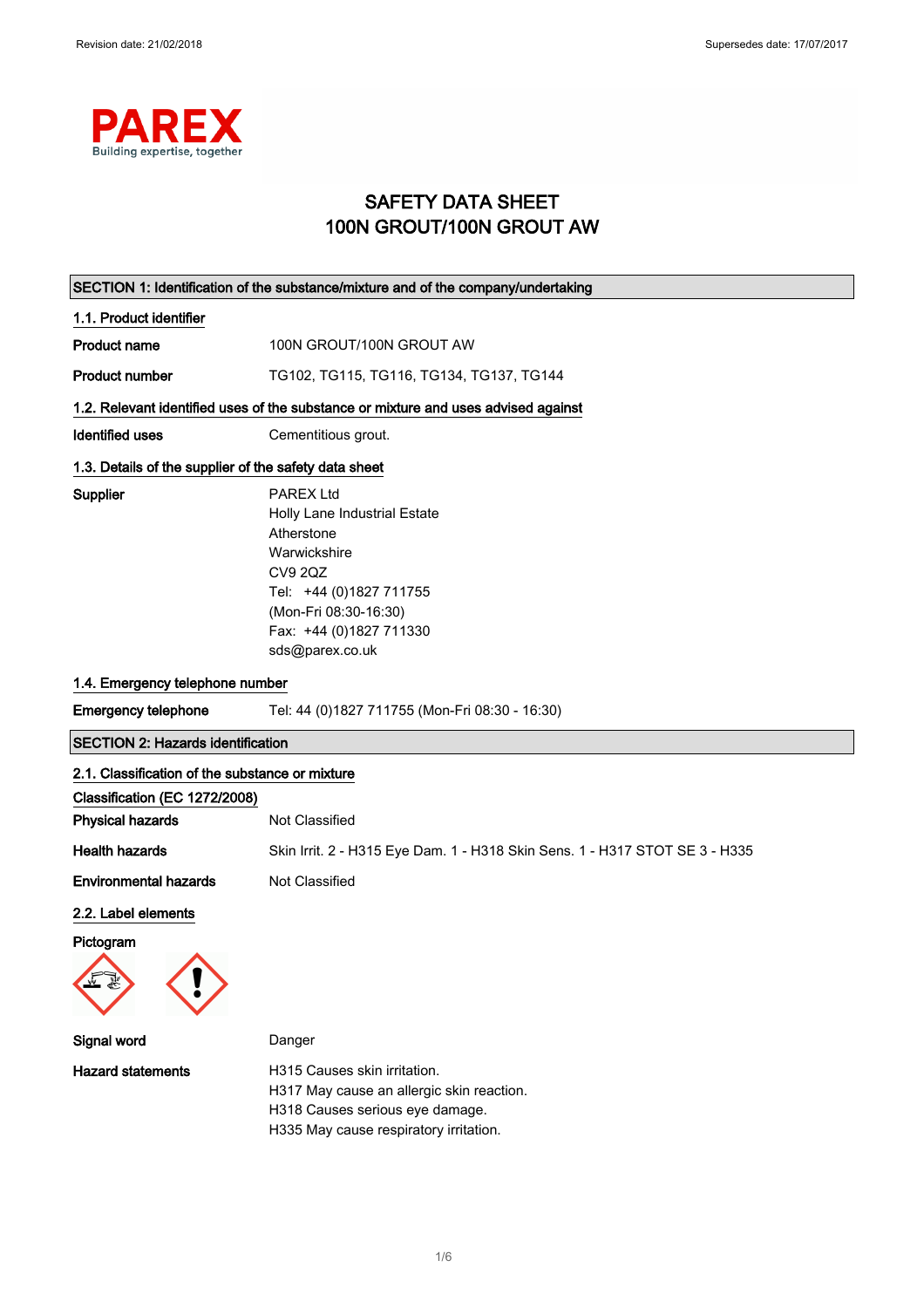

# SAFETY DATA SHEET 100N GROUT/100N GROUT AW

|                                                       | SECTION 1: Identification of the substance/mixture and of the company/undertaking                                                                                                                  |  |
|-------------------------------------------------------|----------------------------------------------------------------------------------------------------------------------------------------------------------------------------------------------------|--|
| 1.1. Product identifier                               |                                                                                                                                                                                                    |  |
| <b>Product name</b>                                   | 100N GROUT/100N GROUT AW                                                                                                                                                                           |  |
| <b>Product number</b>                                 | TG102, TG115, TG116, TG134, TG137, TG144                                                                                                                                                           |  |
|                                                       | 1.2. Relevant identified uses of the substance or mixture and uses advised against                                                                                                                 |  |
| <b>Identified uses</b>                                | Cementitious grout.                                                                                                                                                                                |  |
| 1.3. Details of the supplier of the safety data sheet |                                                                                                                                                                                                    |  |
| Supplier                                              | <b>PAREX Ltd</b><br>Holly Lane Industrial Estate<br>Atherstone<br>Warwickshire<br><b>CV9 2QZ</b><br>Tel: +44 (0)1827 711755<br>(Mon-Fri 08:30-16:30)<br>Fax: +44 (0)1827 711330<br>sds@parex.co.uk |  |
| 1.4. Emergency telephone number                       |                                                                                                                                                                                                    |  |
| <b>Emergency telephone</b>                            | Tel: 44 (0)1827 711755 (Mon-Fri 08:30 - 16:30)                                                                                                                                                     |  |
| <b>SECTION 2: Hazards identification</b>              |                                                                                                                                                                                                    |  |
| 2.1. Classification of the substance or mixture       |                                                                                                                                                                                                    |  |
| Classification (EC 1272/2008)                         |                                                                                                                                                                                                    |  |
| <b>Physical hazards</b>                               | Not Classified                                                                                                                                                                                     |  |
| <b>Health hazards</b>                                 | Skin Irrit. 2 - H315 Eye Dam. 1 - H318 Skin Sens. 1 - H317 STOT SE 3 - H335                                                                                                                        |  |
| <b>Environmental hazards</b>                          | Not Classified                                                                                                                                                                                     |  |
| 2.2. Label elements<br>Pictogram<br>$\equiv$          |                                                                                                                                                                                                    |  |
| Signal word                                           | Danger                                                                                                                                                                                             |  |
| <b>Hazard statements</b>                              | H315 Causes skin irritation.<br>H317 May cause an allergic skin reaction.<br>H318 Causes serious eye damage.<br>H335 May cause respiratory irritation.                                             |  |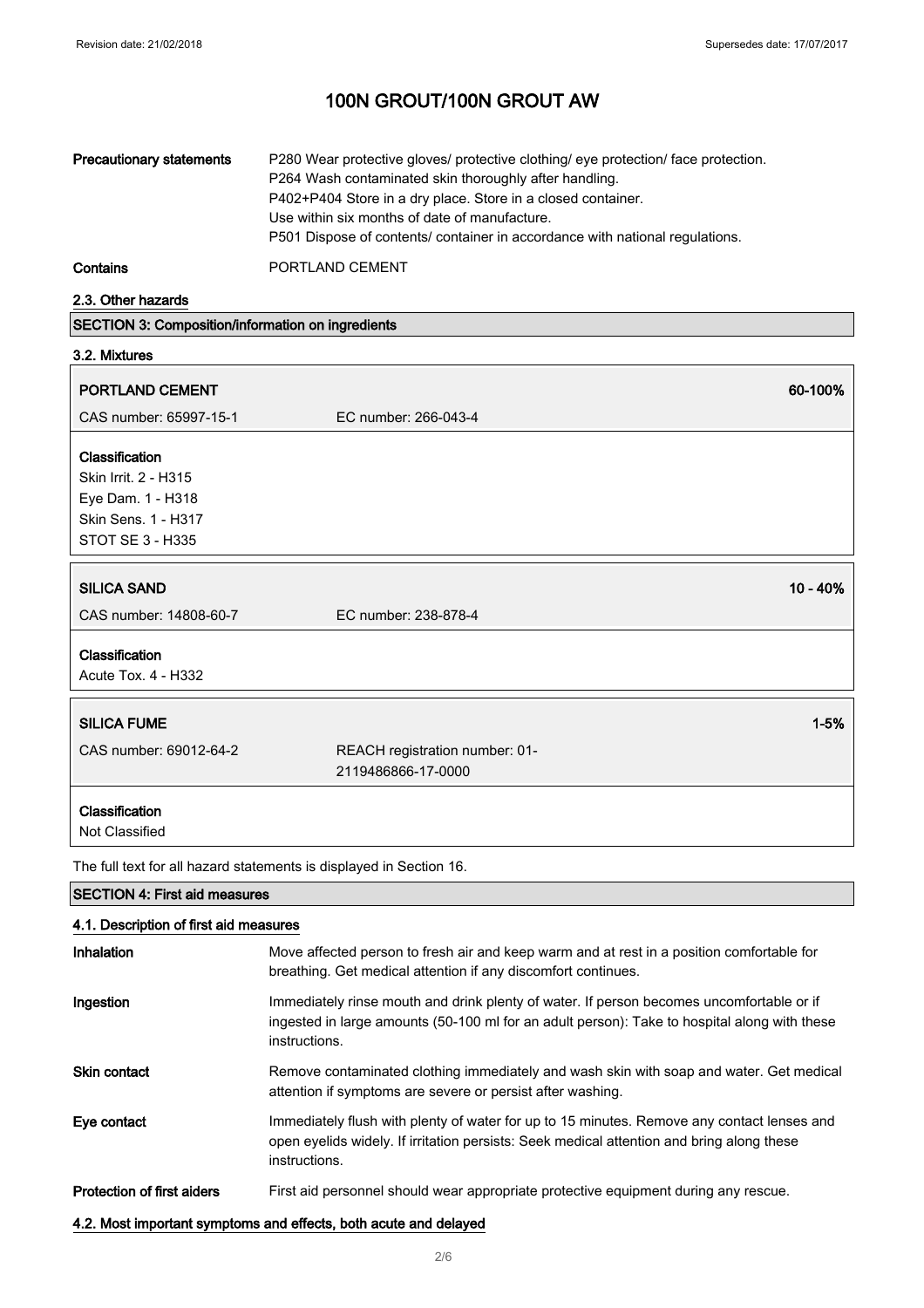| <b>Precautionary statements</b> | P280 Wear protective gloves/ protective clothing/ eye protection/ face protection.<br>P264 Wash contaminated skin thoroughly after handling.<br>P402+P404 Store in a dry place. Store in a closed container.<br>Use within six months of date of manufacture.<br>P501 Dispose of contents/ container in accordance with national regulations. |
|---------------------------------|-----------------------------------------------------------------------------------------------------------------------------------------------------------------------------------------------------------------------------------------------------------------------------------------------------------------------------------------------|
| <b>Contains</b>                 | PORTLAND CEMENT                                                                                                                                                                                                                                                                                                                               |

2.3. Other hazards

| <b>SECTION 3: Composition/information on ingredients</b> |  |
|----------------------------------------------------------|--|
| 3.2. Mixtures                                            |  |

| PORTLAND CEMENT                                                                                        |                                                      | 60-100%    |
|--------------------------------------------------------------------------------------------------------|------------------------------------------------------|------------|
| CAS number: 65997-15-1                                                                                 | EC number: 266-043-4                                 |            |
| Classification<br>Skin Irrit. 2 - H315<br>Eye Dam. 1 - H318<br>Skin Sens. 1 - H317<br>STOT SE 3 - H335 |                                                      |            |
| <b>SILICA SAND</b>                                                                                     |                                                      | $10 - 40%$ |
| CAS number: 14808-60-7                                                                                 | EC number: 238-878-4                                 |            |
| Classification<br>Acute Tox. 4 - H332                                                                  |                                                      |            |
| <b>SILICA FUME</b>                                                                                     |                                                      | $1 - 5%$   |
| CAS number: 69012-64-2                                                                                 | REACH registration number: 01-<br>2119486866-17-0000 |            |
| Classification<br>Not Classified                                                                       |                                                      |            |

The full text for all hazard statements is displayed in Section 16.

## SECTION 4: First aid measures

## 4.1. Description of first aid measures

| Inhalation                        | Move affected person to fresh air and keep warm and at rest in a position comfortable for<br>breathing. Get medical attention if any discomfort continues.                                                |
|-----------------------------------|-----------------------------------------------------------------------------------------------------------------------------------------------------------------------------------------------------------|
| Ingestion                         | Immediately rinse mouth and drink plenty of water. If person becomes uncomfortable or if<br>ingested in large amounts (50-100 ml for an adult person): Take to hospital along with these<br>instructions. |
| <b>Skin contact</b>               | Remove contaminated clothing immediately and wash skin with soap and water. Get medical<br>attention if symptoms are severe or persist after washing.                                                     |
| Eye contact                       | Immediately flush with plenty of water for up to 15 minutes. Remove any contact lenses and<br>open evelids widely. If irritation persists: Seek medical attention and bring along these<br>instructions.  |
| <b>Protection of first aiders</b> | First aid personnel should wear appropriate protective equipment during any rescue.                                                                                                                       |

### 4.2. Most important symptoms and effects, both acute and delayed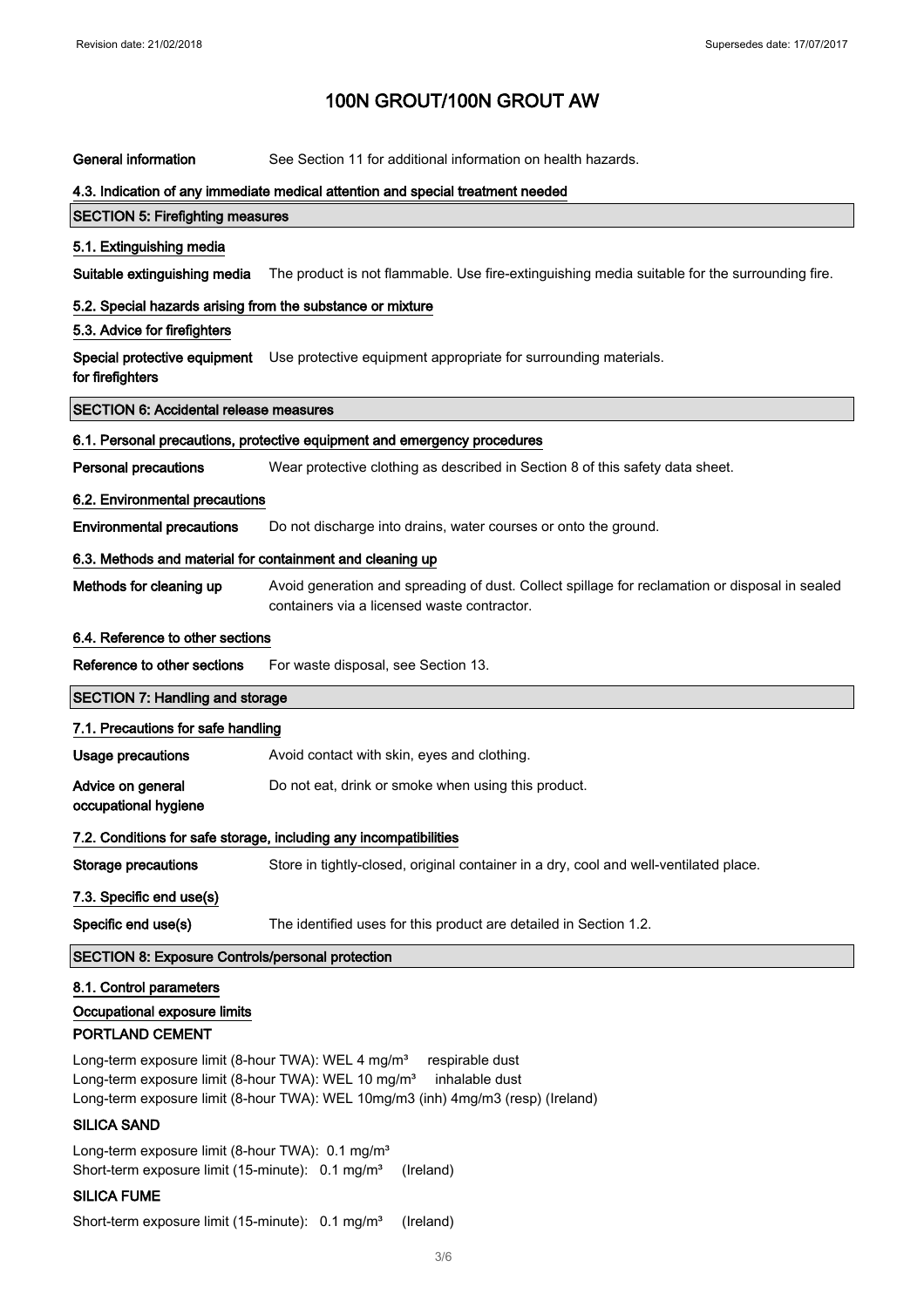| <b>General information</b>                                                                                                                         | See Section 11 for additional information on health hazards.                                                                                  |
|----------------------------------------------------------------------------------------------------------------------------------------------------|-----------------------------------------------------------------------------------------------------------------------------------------------|
|                                                                                                                                                    | 4.3. Indication of any immediate medical attention and special treatment needed                                                               |
| <b>SECTION 5: Firefighting measures</b>                                                                                                            |                                                                                                                                               |
| 5.1. Extinguishing media                                                                                                                           |                                                                                                                                               |
| Suitable extinguishing media                                                                                                                       | The product is not flammable. Use fire-extinguishing media suitable for the surrounding fire.                                                 |
| 5.2. Special hazards arising from the substance or mixture                                                                                         |                                                                                                                                               |
| 5.3. Advice for firefighters                                                                                                                       |                                                                                                                                               |
| Special protective equipment<br>for firefighters                                                                                                   | Use protective equipment appropriate for surrounding materials.                                                                               |
| <b>SECTION 6: Accidental release measures</b>                                                                                                      |                                                                                                                                               |
|                                                                                                                                                    | 6.1. Personal precautions, protective equipment and emergency procedures                                                                      |
| <b>Personal precautions</b>                                                                                                                        | Wear protective clothing as described in Section 8 of this safety data sheet.                                                                 |
| 6.2. Environmental precautions                                                                                                                     |                                                                                                                                               |
| <b>Environmental precautions</b>                                                                                                                   | Do not discharge into drains, water courses or onto the ground.                                                                               |
| 6.3. Methods and material for containment and cleaning up                                                                                          |                                                                                                                                               |
| Methods for cleaning up                                                                                                                            | Avoid generation and spreading of dust. Collect spillage for reclamation or disposal in sealed<br>containers via a licensed waste contractor. |
| 6.4. Reference to other sections                                                                                                                   |                                                                                                                                               |
| Reference to other sections                                                                                                                        | For waste disposal, see Section 13.                                                                                                           |
|                                                                                                                                                    |                                                                                                                                               |
| <b>SECTION 7: Handling and storage</b>                                                                                                             |                                                                                                                                               |
| 7.1. Precautions for safe handling                                                                                                                 |                                                                                                                                               |
| <b>Usage precautions</b>                                                                                                                           | Avoid contact with skin, eyes and clothing.                                                                                                   |
| Advice on general<br>occupational hygiene                                                                                                          | Do not eat, drink or smoke when using this product.                                                                                           |
|                                                                                                                                                    | 7.2. Conditions for safe storage, including any incompatibilities                                                                             |
| <b>Storage precautions</b>                                                                                                                         | Store in tightly-closed, original container in a dry, cool and well-ventilated place.                                                         |
| 7.3. Specific end use(s)                                                                                                                           |                                                                                                                                               |
| Specific end use(s)                                                                                                                                | The identified uses for this product are detailed in Section 1.2.                                                                             |
| <b>SECTION 8: Exposure Controls/personal protection</b>                                                                                            |                                                                                                                                               |
| 8.1. Control parameters                                                                                                                            |                                                                                                                                               |
| Occupational exposure limits                                                                                                                       |                                                                                                                                               |
| PORTLAND CEMENT                                                                                                                                    |                                                                                                                                               |
| Long-term exposure limit (8-hour TWA): WEL 4 mg/m <sup>3</sup><br>Long-term exposure limit (8-hour TWA): WEL 10 mg/m <sup>3</sup>                  | respirable dust<br>inhalable dust<br>Long-term exposure limit (8-hour TWA): WEL 10mg/m3 (inh) 4mg/m3 (resp) (Ireland)                         |
| <b>SILICA SAND</b>                                                                                                                                 |                                                                                                                                               |
| Long-term exposure limit (8-hour TWA): 0.1 mg/m <sup>3</sup><br>Short-term exposure limit (15-minute): 0.1 mg/m <sup>3</sup><br><b>SILICA FUME</b> | (Ireland)                                                                                                                                     |

Short-term exposure limit (15-minute): 0.1 mg/m<sup>3</sup> (Ireland)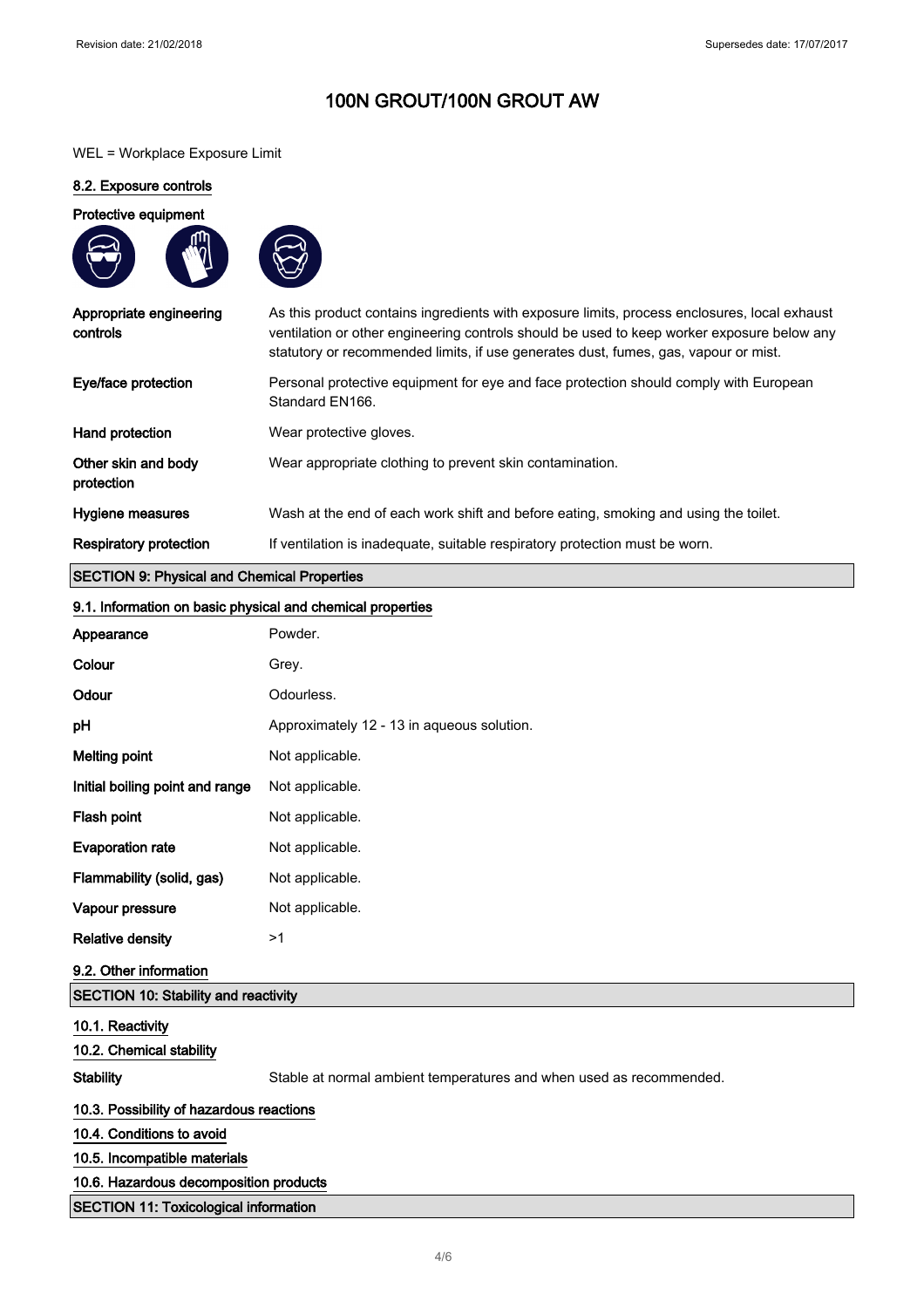### WEL = Workplace Exposure Limit

### 8.2. Exposure controls

### Protective equipment





| Eye/face protection<br>Personal protective equipment for eye and face protection should comply with European<br>Standard EN166.<br>Hand protection<br>Wear protective gloves.<br>Other skin and body<br>Wear appropriate clothing to prevent skin contamination. | As this product contains ingredients with exposure limits, process enclosures, local exhaust<br>ventilation or other engineering controls should be used to keep worker exposure below any |
|------------------------------------------------------------------------------------------------------------------------------------------------------------------------------------------------------------------------------------------------------------------|--------------------------------------------------------------------------------------------------------------------------------------------------------------------------------------------|
|                                                                                                                                                                                                                                                                  |                                                                                                                                                                                            |
|                                                                                                                                                                                                                                                                  |                                                                                                                                                                                            |
| protection                                                                                                                                                                                                                                                       |                                                                                                                                                                                            |
| Wash at the end of each work shift and before eating, smoking and using the toilet.<br>Hygiene measures                                                                                                                                                          |                                                                                                                                                                                            |
| <b>Respiratory protection</b><br>If ventilation is inadequate, suitable respiratory protection must be worn.                                                                                                                                                     |                                                                                                                                                                                            |

# SECTION 9: Physical and Chemical Properties

### 9.1. Information on basic physical and chemical properties

| Appearance                                   | Powder.                                                             |
|----------------------------------------------|---------------------------------------------------------------------|
| Colour                                       | Grey.                                                               |
| Odour                                        | Odourless.                                                          |
| pH                                           | Approximately 12 - 13 in aqueous solution.                          |
| <b>Melting point</b>                         | Not applicable.                                                     |
| Initial boiling point and range              | Not applicable.                                                     |
| Flash point                                  | Not applicable.                                                     |
| <b>Evaporation rate</b>                      | Not applicable.                                                     |
| Flammability (solid, gas)                    | Not applicable.                                                     |
| Vapour pressure                              | Not applicable.                                                     |
| <b>Relative density</b>                      | >1                                                                  |
| 9.2. Other information                       |                                                                     |
| SECTION 10: Stability and reactivity         |                                                                     |
| 10.1. Reactivity                             |                                                                     |
| 10.2. Chemical stability                     |                                                                     |
| <b>Stability</b>                             | Stable at normal ambient temperatures and when used as recommended. |
| 10.3. Possibility of hazardous reactions     |                                                                     |
| 10.4. Conditions to avoid                    |                                                                     |
| 10.5. Incompatible materials                 |                                                                     |
| 10.6. Hazardous decomposition products       |                                                                     |
| <b>SECTION 11: Toxicological information</b> |                                                                     |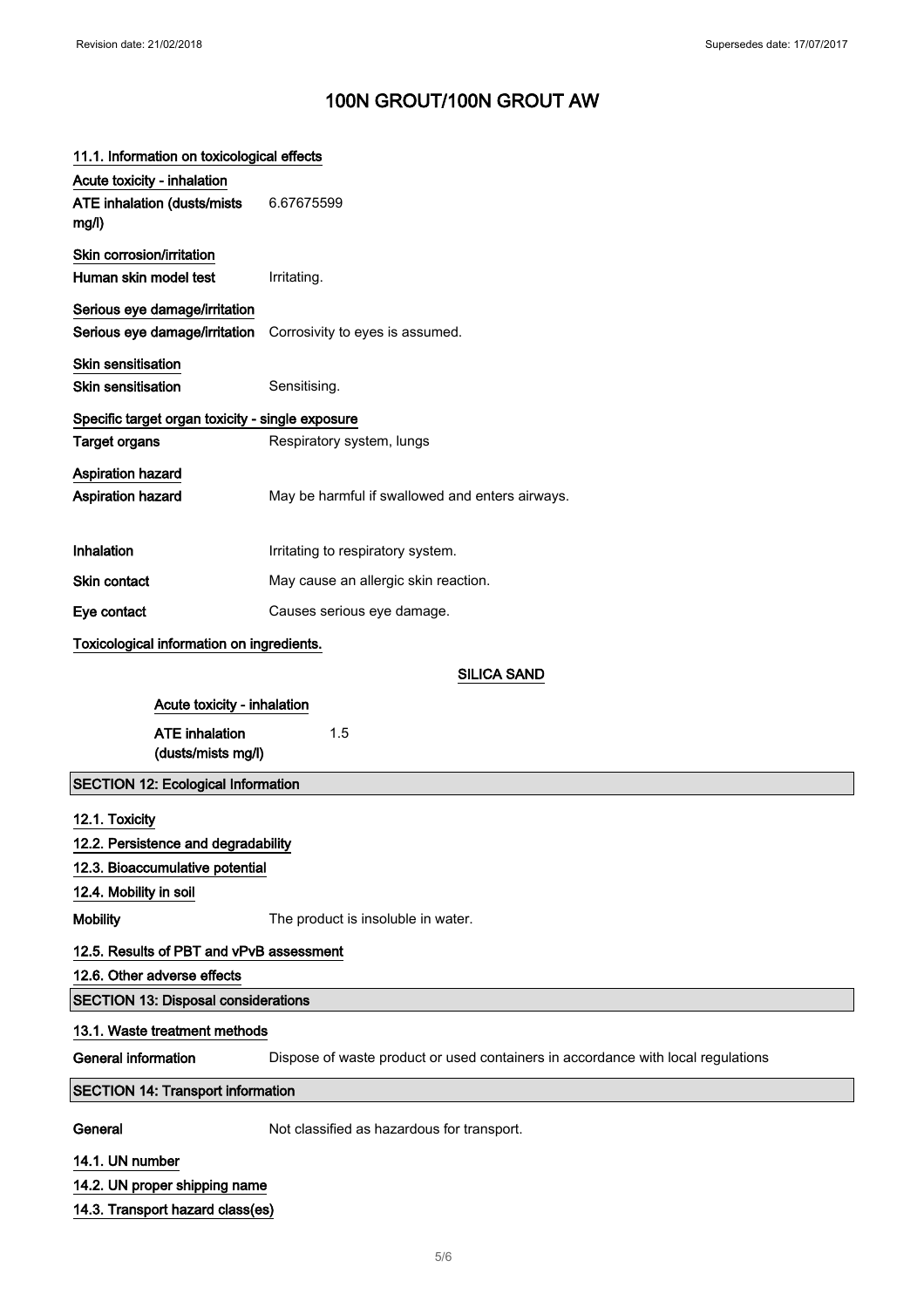# 11.1. Information on toxicological effects Acute toxicity - inhalation ATE inhalation (dusts/mists mg/l) 6.67675599 Skin corrosion/irritation Human skin model test **Irritating**. Serious eye damage/irritation Serious eye damage/irritation Corrosivity to eyes is assumed. Skin sensitisation Skin sensitisation Sensitising. Specific target organ toxicity - single exposure Target organs **Respiratory system, lungs** Aspiration hazard Aspiration hazard May be harmful if swallowed and enters airways. Inhalation Irritating to respiratory system. Skin contact May cause an allergic skin reaction. Eye contact Causes serious eye damage. Toxicological information on ingredients. SILICA SAND Acute toxicity - inhalation ATE inhalation (dusts/mists mg/l) 1.5 SECTION 12: Ecological Information 12.1. Toxicity 12.2. Persistence and degradability 12.3. Bioaccumulative potential 12.4. Mobility in soil Mobility The product is insoluble in water. 12.5. Results of PBT and vPvB assessment 12.6. Other adverse effects SECTION 13: Disposal considerations 13.1. Waste treatment methods General information Dispose of waste product or used containers in accordance with local regulations SECTION 14: Transport information General Mot classified as hazardous for transport. 14.1. UN number 14.2. UN proper shipping name